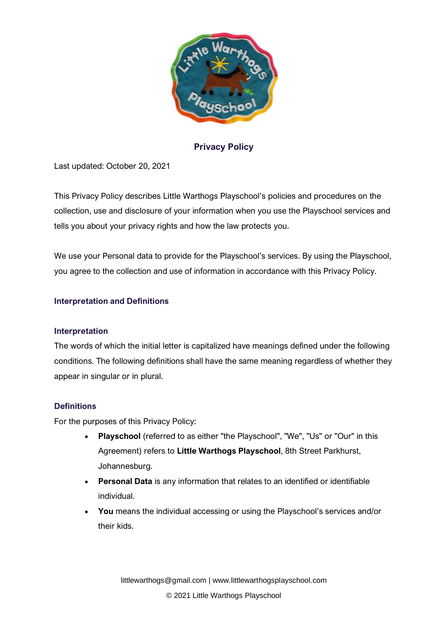

**Privacy Policy**

Last updated: October 20, 2021

This Privacy Policy describes Little Warthogs Playschool's policies and procedures on the collection, use and disclosure of your information when you use the Playschool services and tells you about your privacy rights and how the law protects you.

We use your Personal data to provide for the Playschool's services. By using the Playschool, you agree to the collection and use of information in accordance with this Privacy Policy.

# **Interpretation and Definitions**

### **Interpretation**

The words of which the initial letter is capitalized have meanings defined under the following conditions. The following definitions shall have the same meaning regardless of whether they appear in singular or in plural.

### **Definitions**

For the purposes of this Privacy Policy:

- **Playschool** (referred to as either "the Playschool", "We", "Us" or "Our" in this Agreement) refers to **Little Warthogs Playschool**, 8th Street Parkhurst, Johannesburg.
- **Personal Data** is any information that relates to an identified or identifiable individual.
- **You** means the individual accessing or using the Playschool's services and/or their kids.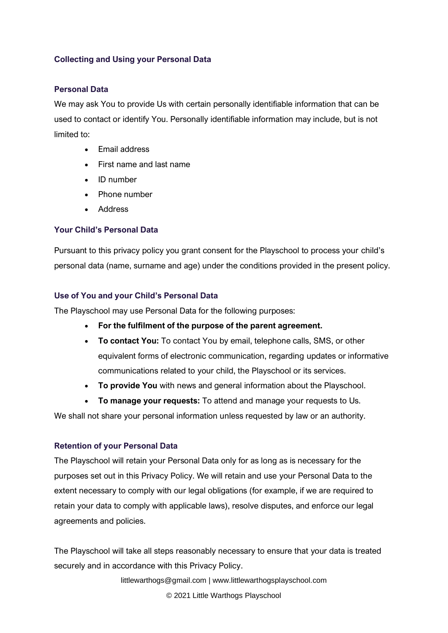## **Collecting and Using your Personal Data**

#### **Personal Data**

We may ask You to provide Us with certain personally identifiable information that can be used to contact or identify You. Personally identifiable information may include, but is not limited to:

- Email address
- First name and last name
- ID number
- Phone number
- Address

# **Your Child's Personal Data**

Pursuant to this privacy policy you grant consent for the Playschool to process your child's personal data (name, surname and age) under the conditions provided in the present policy.

### **Use of You and your Child's Personal Data**

The Playschool may use Personal Data for the following purposes:

- **For the fulfilment of the purpose of the parent agreement.**
- **To contact You:** To contact You by email, telephone calls, SMS, or other equivalent forms of electronic communication, regarding updates or informative communications related to your child, the Playschool or its services.
- **To provide You** with news and general information about the Playschool.
- **To manage your requests:** To attend and manage your requests to Us.

We shall not share your personal information unless requested by law or an authority.

### **Retention of your Personal Data**

The Playschool will retain your Personal Data only for as long as is necessary for the purposes set out in this Privacy Policy. We will retain and use your Personal Data to the extent necessary to comply with our legal obligations (for example, if we are required to retain your data to comply with applicable laws), resolve disputes, and enforce our legal agreements and policies.

The Playschool will take all steps reasonably necessary to ensure that your data is treated securely and in accordance with this Privacy Policy.

littlewarthogs@gmail.com | www.littlewarthogsplayschool.com

© 2021 Little Warthogs Playschool